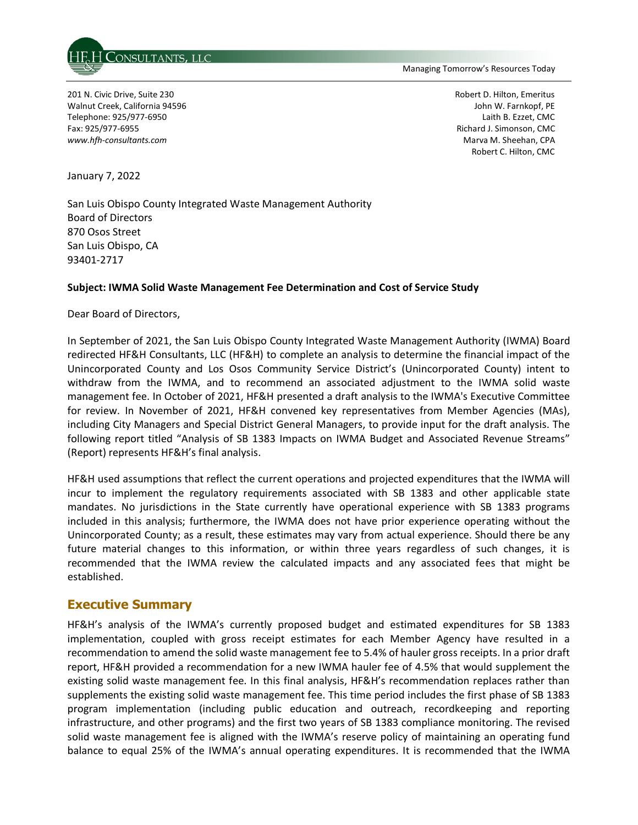

Managing Tomorrow's Resources Today

201 N. Civic Drive, Suite 230 Walnut Creek, California 94596 Telephone: 925/977-6950 Fax: 925/977-6955 *www.hfh-consultants.com* 

Robert D. Hilton, Emeritus John W. Farnkopf, PE Laith B. Ezzet, CMC Richard J. Simonson, CMC Marva M. Sheehan, CPA Robert C. Hilton, CMC

January 7, 2022

San Luis Obispo County Integrated Waste Management Authority Board of Directors 870 Osos Street San Luis Obispo, CA 93401-2717

#### **Subject: IWMA Solid Waste Management Fee Determination and Cost of Service Study**

Dear Board of Directors,

In September of 2021, the San Luis Obispo County Integrated Waste Management Authority (IWMA) Board redirected HF&H Consultants, LLC (HF&H) to complete an analysis to determine the financial impact of the Unincorporated County and Los Osos Community Service District's (Unincorporated County) intent to withdraw from the IWMA, and to recommend an associated adjustment to the IWMA solid waste management fee. In October of 2021, HF&H presented a draft analysis to the IWMA's Executive Committee for review. In November of 2021, HF&H convened key representatives from Member Agencies (MAs), including City Managers and Special District General Managers, to provide input for the draft analysis. The following report titled "Analysis of SB 1383 Impacts on IWMA Budget and Associated Revenue Streams" (Report) represents HF&H's final analysis.

HF&H used assumptions that reflect the current operations and projected expenditures that the IWMA will incur to implement the regulatory requirements associated with SB 1383 and other applicable state mandates. No jurisdictions in the State currently have operational experience with SB 1383 programs included in this analysis; furthermore, the IWMA does not have prior experience operating without the Unincorporated County; as a result, these estimates may vary from actual experience. Should there be any future material changes to this information, or within three years regardless of such changes, it is recommended that the IWMA review the calculated impacts and any associated fees that might be established.

## **Executive Summary**

HF&H's analysis of the IWMA's currently proposed budget and estimated expenditures for SB 1383 implementation, coupled with gross receipt estimates for each Member Agency have resulted in a recommendation to amend the solid waste management fee to 5.4% of hauler gross receipts. In a prior draft report, HF&H provided a recommendation for a new IWMA hauler fee of 4.5% that would supplement the existing solid waste management fee. In this final analysis, HF&H's recommendation replaces rather than supplements the existing solid waste management fee. This time period includes the first phase of SB 1383 program implementation (including public education and outreach, recordkeeping and reporting infrastructure, and other programs) and the first two years of SB 1383 compliance monitoring. The revised solid waste management fee is aligned with the IWMA's reserve policy of maintaining an operating fund balance to equal 25% of the IWMA's annual operating expenditures. It is recommended that the IWMA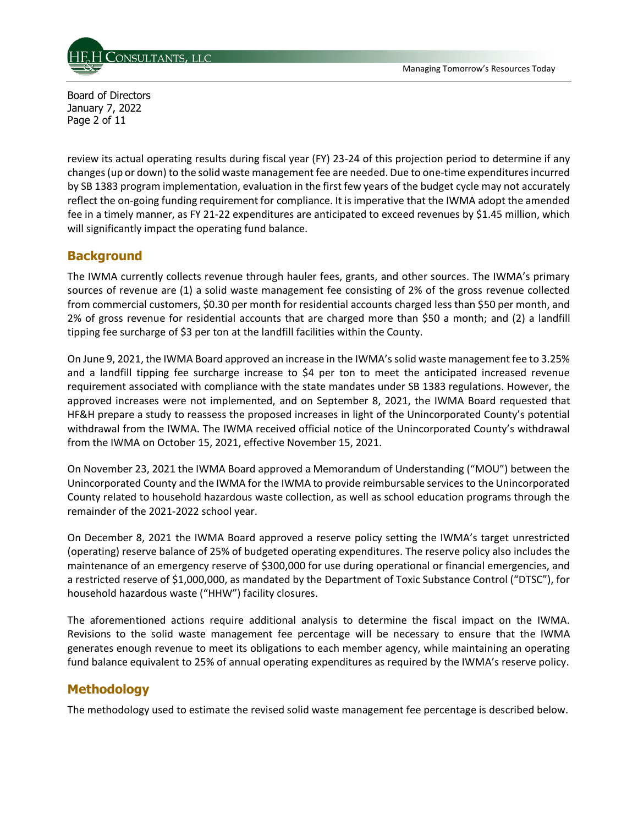

Board of Directors January 7, 2022 Page 2 of 11

review its actual operating results during fiscal year (FY) 23-24 of this projection period to determine if any changes (up or down) to the solid waste management fee are needed. Due to one-time expenditures incurred by SB 1383 program implementation, evaluation in the first few years of the budget cycle may not accurately reflect the on-going funding requirement for compliance. It is imperative that the IWMA adopt the amended fee in a timely manner, as FY 21-22 expenditures are anticipated to exceed revenues by \$1.45 million, which will significantly impact the operating fund balance.

## **Background**

The IWMA currently collects revenue through hauler fees, grants, and other sources. The IWMA's primary sources of revenue are (1) a solid waste management fee consisting of 2% of the gross revenue collected from commercial customers, \$0.30 per month for residential accounts charged less than \$50 per month, and 2% of gross revenue for residential accounts that are charged more than \$50 a month; and (2) a landfill tipping fee surcharge of \$3 per ton at the landfill facilities within the County.

On June 9, 2021, the IWMA Board approved an increase in the IWMA's solid waste management fee to 3.25% and a landfill tipping fee surcharge increase to \$4 per ton to meet the anticipated increased revenue requirement associated with compliance with the state mandates under SB 1383 regulations. However, the approved increases were not implemented, and on September 8, 2021, the IWMA Board requested that HF&H prepare a study to reassess the proposed increases in light of the Unincorporated County's potential withdrawal from the IWMA. The IWMA received official notice of the Unincorporated County's withdrawal from the IWMA on October 15, 2021, effective November 15, 2021.

On November 23, 2021 the IWMA Board approved a Memorandum of Understanding ("MOU") between the Unincorporated County and the IWMA for the IWMA to provide reimbursable services to the Unincorporated County related to household hazardous waste collection, as well as school education programs through the remainder of the 2021-2022 school year.

On December 8, 2021 the IWMA Board approved a reserve policy setting the IWMA's target unrestricted (operating) reserve balance of 25% of budgeted operating expenditures. The reserve policy also includes the maintenance of an emergency reserve of \$300,000 for use during operational or financial emergencies, and a restricted reserve of \$1,000,000, as mandated by the Department of Toxic Substance Control ("DTSC"), for household hazardous waste ("HHW") facility closures.

The aforementioned actions require additional analysis to determine the fiscal impact on the IWMA. Revisions to the solid waste management fee percentage will be necessary to ensure that the IWMA generates enough revenue to meet its obligations to each member agency, while maintaining an operating fund balance equivalent to 25% of annual operating expenditures as required by the IWMA's reserve policy.

## **Methodology**

The methodology used to estimate the revised solid waste management fee percentage is described below.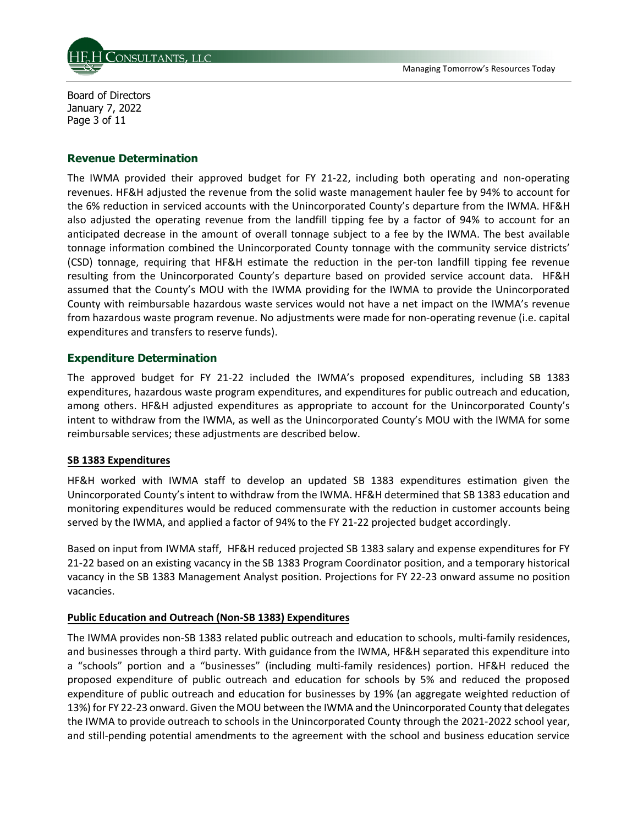

Board of Directors January 7, 2022 Page 3 of 11

#### **Revenue Determination**

The IWMA provided their approved budget for FY 21-22, including both operating and non-operating revenues. HF&H adjusted the revenue from the solid waste management hauler fee by 94% to account for the 6% reduction in serviced accounts with the Unincorporated County's departure from the IWMA. HF&H also adjusted the operating revenue from the landfill tipping fee by a factor of 94% to account for an anticipated decrease in the amount of overall tonnage subject to a fee by the IWMA. The best available tonnage information combined the Unincorporated County tonnage with the community service districts' (CSD) tonnage, requiring that HF&H estimate the reduction in the per-ton landfill tipping fee revenue resulting from the Unincorporated County's departure based on provided service account data. HF&H assumed that the County's MOU with the IWMA providing for the IWMA to provide the Unincorporated County with reimbursable hazardous waste services would not have a net impact on the IWMA's revenue from hazardous waste program revenue. No adjustments were made for non-operating revenue (i.e. capital expenditures and transfers to reserve funds).

### **Expenditure Determination**

The approved budget for FY 21-22 included the IWMA's proposed expenditures, including SB 1383 expenditures, hazardous waste program expenditures, and expenditures for public outreach and education, among others. HF&H adjusted expenditures as appropriate to account for the Unincorporated County's intent to withdraw from the IWMA, as well as the Unincorporated County's MOU with the IWMA for some reimbursable services; these adjustments are described below.

#### **SB 1383 Expenditures**

HF&H worked with IWMA staff to develop an updated SB 1383 expenditures estimation given the Unincorporated County's intent to withdraw from the IWMA. HF&H determined that SB 1383 education and monitoring expenditures would be reduced commensurate with the reduction in customer accounts being served by the IWMA, and applied a factor of 94% to the FY 21-22 projected budget accordingly.

Based on input from IWMA staff, HF&H reduced projected SB 1383 salary and expense expenditures for FY 21-22 based on an existing vacancy in the SB 1383 Program Coordinator position, and a temporary historical vacancy in the SB 1383 Management Analyst position. Projections for FY 22-23 onward assume no position vacancies.

### **Public Education and Outreach (Non-SB 1383) Expenditures**

The IWMA provides non-SB 1383 related public outreach and education to schools, multi-family residences, and businesses through a third party. With guidance from the IWMA, HF&H separated this expenditure into a "schools" portion and a "businesses" (including multi-family residences) portion. HF&H reduced the proposed expenditure of public outreach and education for schools by 5% and reduced the proposed expenditure of public outreach and education for businesses by 19% (an aggregate weighted reduction of 13%) for FY 22-23 onward. Given the MOU between the IWMA and the Unincorporated County that delegates the IWMA to provide outreach to schools in the Unincorporated County through the 2021-2022 school year, and still-pending potential amendments to the agreement with the school and business education service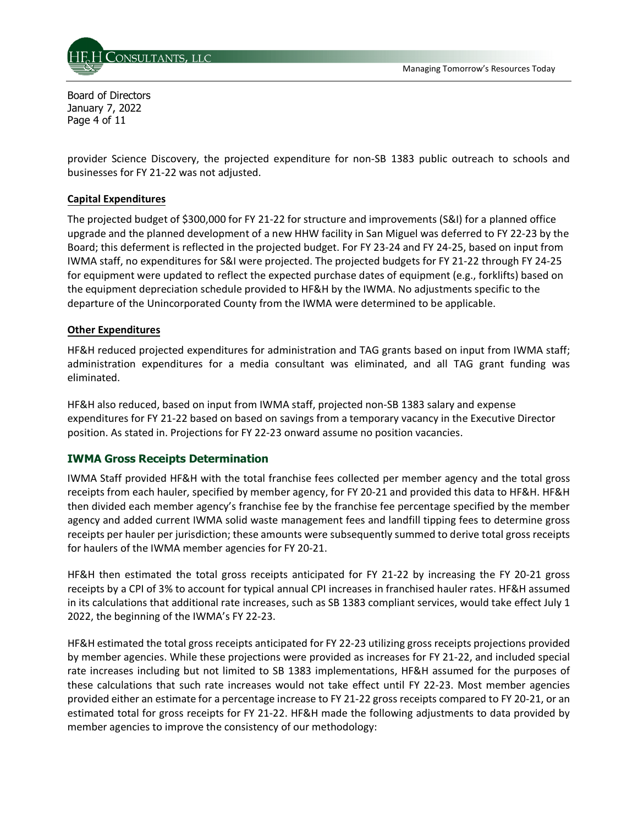

Board of Directors January 7, 2022 Page 4 of 11

provider Science Discovery, the projected expenditure for non-SB 1383 public outreach to schools and businesses for FY 21-22 was not adjusted.

## **Capital Expenditures**

The projected budget of \$300,000 for FY 21-22 for structure and improvements (S&I) for a planned office upgrade and the planned development of a new HHW facility in San Miguel was deferred to FY 22-23 by the Board; this deferment is reflected in the projected budget. For FY 23-24 and FY 24-25, based on input from IWMA staff, no expenditures for S&I were projected. The projected budgets for FY 21-22 through FY 24-25 for equipment were updated to reflect the expected purchase dates of equipment (e.g., forklifts) based on the equipment depreciation schedule provided to HF&H by the IWMA. No adjustments specific to the departure of the Unincorporated County from the IWMA were determined to be applicable.

### **Other Expenditures**

HF&H reduced projected expenditures for administration and TAG grants based on input from IWMA staff; administration expenditures for a media consultant was eliminated, and all TAG grant funding was eliminated.

HF&H also reduced, based on input from IWMA staff, projected non-SB 1383 salary and expense expenditures for FY 21-22 based on based on savings from a temporary vacancy in the Executive Director position. As stated in. Projections for FY 22-23 onward assume no position vacancies.

## **IWMA Gross Receipts Determination**

IWMA Staff provided HF&H with the total franchise fees collected per member agency and the total gross receipts from each hauler, specified by member agency, for FY 20-21 and provided this data to HF&H. HF&H then divided each member agency's franchise fee by the franchise fee percentage specified by the member agency and added current IWMA solid waste management fees and landfill tipping fees to determine gross receipts per hauler per jurisdiction; these amounts were subsequently summed to derive total gross receipts for haulers of the IWMA member agencies for FY 20-21.

HF&H then estimated the total gross receipts anticipated for FY 21-22 by increasing the FY 20-21 gross receipts by a CPI of 3% to account for typical annual CPI increases in franchised hauler rates. HF&H assumed in its calculations that additional rate increases, such as SB 1383 compliant services, would take effect July 1 2022, the beginning of the IWMA's FY 22-23.

HF&H estimated the total gross receipts anticipated for FY 22-23 utilizing gross receipts projections provided by member agencies. While these projections were provided as increases for FY 21-22, and included special rate increases including but not limited to SB 1383 implementations, HF&H assumed for the purposes of these calculations that such rate increases would not take effect until FY 22-23. Most member agencies provided either an estimate for a percentage increase to FY 21-22 gross receipts compared to FY 20-21, or an estimated total for gross receipts for FY 21-22. HF&H made the following adjustments to data provided by member agencies to improve the consistency of our methodology: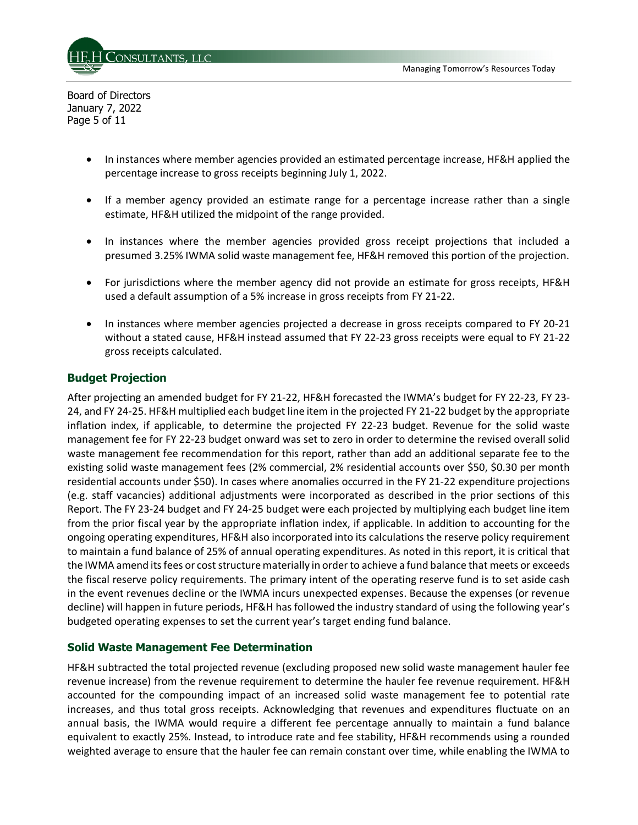

Board of Directors January 7, 2022 Page 5 of 11

- In instances where member agencies provided an estimated percentage increase, HF&H applied the percentage increase to gross receipts beginning July 1, 2022.
- If a member agency provided an estimate range for a percentage increase rather than a single estimate, HF&H utilized the midpoint of the range provided.
- In instances where the member agencies provided gross receipt projections that included a presumed 3.25% IWMA solid waste management fee, HF&H removed this portion of the projection.
- For jurisdictions where the member agency did not provide an estimate for gross receipts, HF&H used a default assumption of a 5% increase in gross receipts from FY 21-22.
- In instances where member agencies projected a decrease in gross receipts compared to FY 20-21 without a stated cause, HF&H instead assumed that FY 22-23 gross receipts were equal to FY 21-22 gross receipts calculated.

## **Budget Projection**

After projecting an amended budget for FY 21-22, HF&H forecasted the IWMA's budget for FY 22-23, FY 23- 24, and FY 24-25. HF&H multiplied each budget line item in the projected FY 21-22 budget by the appropriate inflation index, if applicable, to determine the projected FY 22-23 budget. Revenue for the solid waste management fee for FY 22-23 budget onward was set to zero in order to determine the revised overall solid waste management fee recommendation for this report, rather than add an additional separate fee to the existing solid waste management fees (2% commercial, 2% residential accounts over \$50, \$0.30 per month residential accounts under \$50). In cases where anomalies occurred in the FY 21-22 expenditure projections (e.g. staff vacancies) additional adjustments were incorporated as described in the prior sections of this Report. The FY 23-24 budget and FY 24-25 budget were each projected by multiplying each budget line item from the prior fiscal year by the appropriate inflation index, if applicable. In addition to accounting for the ongoing operating expenditures, HF&H also incorporated into its calculations the reserve policy requirement to maintain a fund balance of 25% of annual operating expenditures. As noted in this report, it is critical that the IWMA amend its fees or cost structure materially in order to achieve a fund balance that meets or exceeds the fiscal reserve policy requirements. The primary intent of the operating reserve fund is to set aside cash in the event revenues decline or the IWMA incurs unexpected expenses. Because the expenses (or revenue decline) will happen in future periods, HF&H has followed the industry standard of using the following year's budgeted operating expenses to set the current year's target ending fund balance.

### **Solid Waste Management Fee Determination**

HF&H subtracted the total projected revenue (excluding proposed new solid waste management hauler fee revenue increase) from the revenue requirement to determine the hauler fee revenue requirement. HF&H accounted for the compounding impact of an increased solid waste management fee to potential rate increases, and thus total gross receipts. Acknowledging that revenues and expenditures fluctuate on an annual basis, the IWMA would require a different fee percentage annually to maintain a fund balance equivalent to exactly 25%. Instead, to introduce rate and fee stability, HF&H recommends using a rounded weighted average to ensure that the hauler fee can remain constant over time, while enabling the IWMA to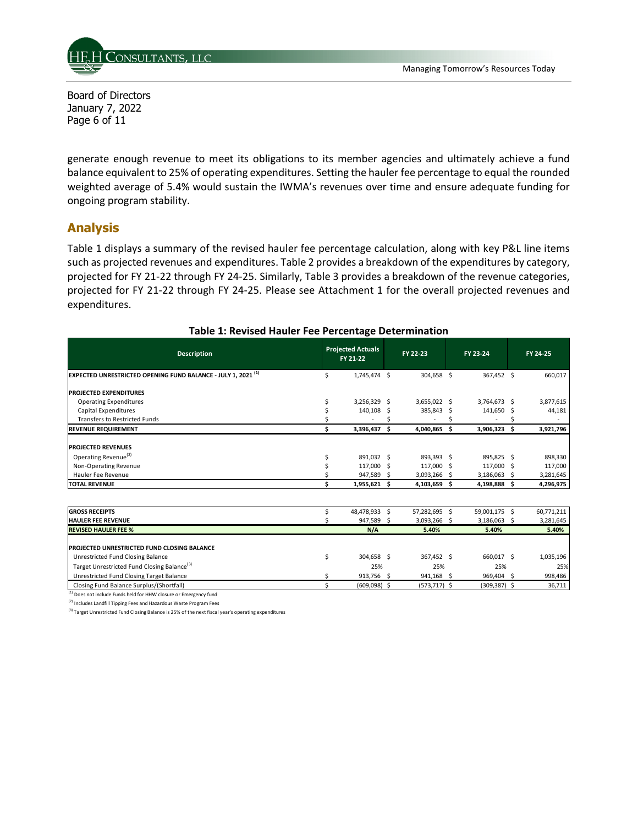

Board of Directors January 7, 2022 Page 6 of 11

generate enough revenue to meet its obligations to its member agencies and ultimately achieve a fund balance equivalent to 25% of operating expenditures. Setting the hauler fee percentage to equal the rounded weighted average of 5.4% would sustain the IWMA's revenues over time and ensure adequate funding for ongoing program stability.

## **Analysis**

Table 1 displays a summary of the revised hauler fee percentage calculation, along with key P&L line items such as projected revenues and expenditures. Table 2 provides a breakdown of the expenditures by category, projected for FY 21-22 through FY 24-25. Similarly, Table 3 provides a breakdown of the revenue categories, projected for FY 21-22 through FY 24-25. Please see Attachment 1 for the overall projected revenues and expenditures.

| <b>Description</b>                                                             |    | <b>Projected Actuals</b><br>FY 21-22 |    | FY 22-23        |    | FY 23-24        |    | FY 24-25   |
|--------------------------------------------------------------------------------|----|--------------------------------------|----|-----------------|----|-----------------|----|------------|
| <b>EXPECTED UNRESTRICTED OPENING FUND BALANCE - JULY 1, 2021<sup>(1)</sup></b> | \$ | 1,745,474 \$                         |    | 304,658 \$      |    | 367,452 \$      |    | 660,017    |
| <b>PROJECTED EXPENDITURES</b>                                                  |    |                                      |    |                 |    |                 |    |            |
| <b>Operating Expenditures</b>                                                  |    | 3,256,329 \$                         |    | 3,655,022 \$    |    | 3,764,673       | .s | 3,877,615  |
| <b>Capital Expenditures</b>                                                    |    | 140,108                              | .S | 385,843         | Ŝ. | 141,650         | .s | 44,181     |
| <b>Transfers to Restricted Funds</b>                                           |    |                                      |    |                 |    |                 |    |            |
| <b>REVENUE REQUIREMENT</b>                                                     | Ś  | 3,396,437                            | Ŝ. | 4,040,865       | Ŝ  | 3,906,323       | Ś. | 3,921,796  |
| <b>PROJECTED REVENUES</b>                                                      |    |                                      |    |                 |    |                 |    |            |
| Operating Revenue <sup>(2)</sup>                                               |    | 891,032 \$                           |    | 893,393 \$      |    | 895,825 \$      |    | 898,330    |
| Non-Operating Revenue                                                          |    | 117,000 \$                           |    | 117.000         | Ŝ. | 117,000         | .s | 117,000    |
| Hauler Fee Revenue                                                             |    | 947,589 \$                           |    | 3,093,266       | Ŝ. | 3,186,063       |    | 3,281,645  |
| <b>TOTAL REVENUE</b>                                                           | Ś. | 1,955,621 \$                         |    | 4,103,659       | Ŝ  | 4,198,888       | Ś. | 4,296,975  |
|                                                                                |    |                                      |    |                 |    |                 |    |            |
| <b>GROSS RECEIPTS</b>                                                          |    | 48,478,933 \$                        |    | 57,282,695      | \$ | 59,001,175      | \$ | 60,771,211 |
| <b>HAULER FEE REVENUE</b>                                                      |    | 947,589 \$                           |    | 3,093,266       | Ŝ. | 3,186,063       |    | 3,281,645  |
| <b>REVISED HAULER FEE %</b>                                                    |    | N/A                                  |    | 5.40%           |    | 5.40%           |    | 5.40%      |
|                                                                                |    |                                      |    |                 |    |                 |    |            |
| <b>PROJECTED UNRESTRICTED FUND CLOSING BALANCE</b>                             |    |                                      |    |                 |    |                 |    |            |
| Unrestricted Fund Closing Balance                                              | Ś  | 304,658 \$                           |    | 367,452 \$      |    | 660,017 \$      |    | 1,035,196  |
| Target Unrestricted Fund Closing Balance <sup>(3)</sup>                        |    | 25%                                  |    | 25%             |    | 25%             |    | 25%        |
| Unrestricted Fund Closing Target Balance                                       | Ś  | 913,756 \$                           |    | 941,168 \$      |    | 969,404 \$      |    | 998,486    |
| Closing Fund Balance Surplus/(Shortfall)                                       | \$ | (609,098) \$                         |    | $(573, 717)$ \$ |    | $(309, 387)$ \$ |    | 36,711     |
| (1) Does not include Funds held for HHW closure or Emergency fund              |    |                                      |    |                 |    |                 |    |            |

#### **Table 1: Revised Hauler Fee Percentage Determination**

(2) Includes Landfill Tipping Fees and Hazardous Waste Program Fees

(3) Target Unrestricted Fund Closing Balance is 25% of the next fiscal year's operating expenditures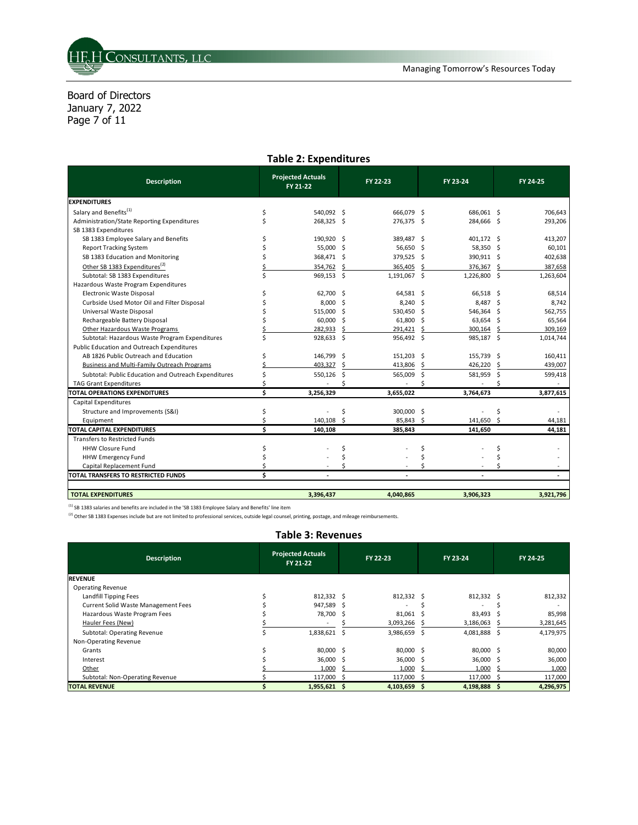Board of Directors January 7, 2022 Page 7 of 11

#### **Table 2: Expenditures**

| <b>Description</b>                                   |   | <b>Projected Actuals</b><br>FY 21-22 |    | FY 22-23     |     | FY 23-24     |               | FY 24-25  |  |
|------------------------------------------------------|---|--------------------------------------|----|--------------|-----|--------------|---------------|-----------|--|
| <b>EXPENDITURES</b>                                  |   |                                      |    |              |     |              |               |           |  |
| Salary and Benefits <sup>(1)</sup>                   | Ŝ | 540,092 \$                           |    | 666,079 \$   |     | 686,061 \$   |               | 706,643   |  |
| Administration/State Reporting Expenditures          |   | 268,325 \$                           |    | 276,375 \$   |     | 284,666 \$   |               | 293,206   |  |
| SB 1383 Expenditures                                 |   |                                      |    |              |     |              |               |           |  |
| SB 1383 Employee Salary and Benefits                 |   | 190,920                              | .s | 389,487      | -\$ | 401,172 \$   |               | 413,207   |  |
| <b>Report Tracking System</b>                        |   | 55,000                               | Ŝ. | 56,650       | Ŝ.  | 58,350       | -Ś            | 60,101    |  |
| SB 1383 Education and Monitoring                     |   | 368,471                              | \$ | 379,525      | -\$ | 390,911 \$   |               | 402,638   |  |
| Other SB 1383 Expenditures <sup>(2)</sup>            |   | 354,762                              | Ś  | 365,405      | Ŝ.  | 376,367      | Ŝ             | 387,658   |  |
| Subtotal: SB 1383 Expenditures                       |   | 969,153 \$                           |    | 1,191,067 \$ |     | 1,226,800 \$ |               | 1,263,604 |  |
| Hazardous Waste Program Expenditures                 |   |                                      |    |              |     |              |               |           |  |
| Electronic Waste Disposal                            |   | 62,700                               | .s | 64,581 \$    |     | 66,518       | .s            | 68,514    |  |
| Curbside Used Motor Oil and Filter Disposal          |   | 8,000                                | Ŝ. | $8,240$ \$   |     | 8,487        | .s            | 8,742     |  |
| Universal Waste Disposal                             |   | 515.000                              | Ŝ. | 530,450      | .s  | 546,364      | Ŝ.            | 562,755   |  |
| Rechargeable Battery Disposal                        |   | 60,000                               | Ŝ. | 61,800       | -S  | 63,654       | -S            | 65,564    |  |
| Other Hazardous Waste Programs                       |   | 282.933                              | Ŝ. | 291.421      | Ŝ.  | 300.164      | <sup>\$</sup> | 309,169   |  |
| Subtotal: Hazardous Waste Program Expenditures       |   | 928,633 \$                           |    | 956,492 \$   |     | 985,187 \$   |               | 1,014,744 |  |
| Public Education and Outreach Expenditures           |   |                                      |    |              |     |              |               |           |  |
| AB 1826 Public Outreach and Education                |   | 146,799                              | \$ | 151,203      | -\$ | 155,739      | S.            | 160,411   |  |
| Business and Multi-Family Outreach Programs          |   | 403.327                              | Ŝ. | 413,806      | \$  | 426,220      | Ŝ             | 439,007   |  |
| Subtotal: Public Education and Outreach Expenditures |   | 550,126                              | \$ | 565,009      | \$  | 581,959      | -\$           | 599,418   |  |
| <b>TAG Grant Expenditures</b>                        |   |                                      |    |              |     |              |               |           |  |
| <b>TOTAL OPERATIONS EXPENDITURES</b>                 | Ś | 3,256,329                            |    | 3,655,022    |     | 3,764,673    |               | 3,877,615 |  |
| Capital Expenditures                                 |   |                                      |    |              |     |              |               |           |  |
| Structure and Improvements (S&I)                     |   |                                      | Ś  | 300,000      | \$. |              | Ś             |           |  |
| Equipment                                            |   | 140,108                              | Ś  | 85,843 \$    |     | 141,650      | <sup>\$</sup> | 44,181    |  |
| <b>TOTAL CAPITAL EXPENDITURES</b>                    | Ś | 140,108                              |    | 385,843      |     | 141,650      |               | 44,181    |  |
| <b>Transfers to Restricted Funds</b>                 |   |                                      |    |              |     |              |               |           |  |
| <b>HHW Closure Fund</b>                              |   |                                      | Ś  |              | \$  |              | Ś             |           |  |
| <b>HHW Emergency Fund</b>                            |   |                                      |    |              |     |              |               |           |  |
| Capital Replacement Fund                             |   |                                      |    |              |     |              |               |           |  |
| TOTAL TRANSFERS TO RESTRICTED FUNDS                  | Ś |                                      |    |              |     |              |               |           |  |
|                                                      |   |                                      |    |              |     |              |               |           |  |
| <b>TOTAL EXPENDITURES</b>                            |   | 3.396.437                            |    | 4.040.865    |     | 3.906.323    |               | 3,921,796 |  |

 $<sup>(1)</sup>$  SB 1383 salaries and benefits are included in the 'SB 1383 Employee Salary and Benefits' line item</sup>

<sup>(2)</sup> Other SB 1383 Expenses include but are not limited to professional services, outside legal counsel, printing, postage, and mileage reimbursements.

#### **Table 3: Revenues Description Projected Actuals FY 21-22 FY 22-23 FY 23-24 FY 24-25 REVENUE** Operating Revenue Landfill Tipping Fees 612,332 \$ 812,332 \$ 812,332 \$ 812,332 \$ 812,332 \$ 812,332 \$ 812,332 \$ 812,332 \$ 812,332<br>Current Solid Waste Management Fees \$ 947,589 \$ - \$ \$ Current Solid Waste Management Fees \$ 947,589 \$ - \$ - \$ - Hazardous Waste Program Fees **1988 120 aproximation** 5 83,998 5 81,061 \$ 83,493 \$ 85,998 85,998 5 85,998 85,998<br>
Hauler Fees (New) Hauler Fees (New) 3,186,093,266 \$ 3,186,093,266 \$ 3,186,063,266 \$ 3,186,063 \$ 3,186,063 \$ 3,281,646,063 \$ Subtotal: Operating Revenue **5** 5 3,986,659 \$ 4,081,888 \$ 4,179,975 Non-Operating Revenue Grants \$ 80,000 \$ 80,000 \$ 80,000 \$ 80,000 Interest \$ 36,000 \$ 36,000 \$ 36,000 \$ 36,000  $\frac{1000}{1000}$  \$ 1,000 \$ 1,000 \$ 1,000 \$ 1,000 \$ 1,000 \$ 1,000 \$ 1,000 \$ 1,000 \$ 1,000 \$ 1,000 \$ 1,000 \$ 1,000 \$ 1,000 \$ 1,000 \$ 1,000 \$ 1,000 \$ 1,000 \$ 1,000 \$ 1,000 \$ 1,000 \$ 1,000 \$ 1,000 \$ 1,000 \$ 1,000 \$ 1,000 \$ 1,0 Subtotal: Non-Operating Revenue <br>
S
\$
117,000 \$
117,000 \$
117,000 \$
117,000 \$ **TOTAL REVENUE \$ 1,955,621 \$ 4,103,659 \$ 4,198,888 \$ 4,296,975**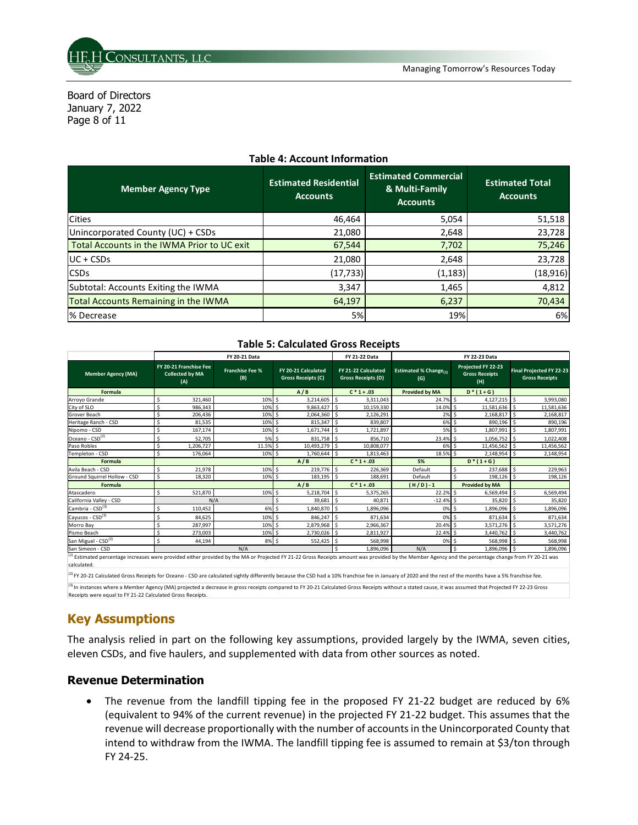

Board of Directors January 7, 2022 Page 8 of 11

| <b>Member Agency Type</b>                   | <b>Estimated Residential</b><br><b>Accounts</b> | <b>Estimated Commercial</b><br>& Multi-Family<br><b>Accounts</b> | <b>Estimated Total</b><br><b>Accounts</b> |  |  |  |
|---------------------------------------------|-------------------------------------------------|------------------------------------------------------------------|-------------------------------------------|--|--|--|
| <b>Cities</b>                               | 46,464                                          | 5,054                                                            | 51,518                                    |  |  |  |
| Unincorporated County (UC) + CSDs           | 21,080                                          | 2,648                                                            | 23,728                                    |  |  |  |
| Total Accounts in the IWMA Prior to UC exit | 67,544                                          | 7,702                                                            | 75,246                                    |  |  |  |
| $UC + CSDs$                                 | 21,080                                          | 2,648                                                            | 23,728                                    |  |  |  |
| <b>CSD<sub>S</sub></b>                      | (17, 733)                                       | (1, 183)                                                         | (18, 916)                                 |  |  |  |
| Subtotal: Accounts Exiting the IWMA         | 3,347                                           | 1,465                                                            | 4,812                                     |  |  |  |
| Total Accounts Remaining in the IWMA        | 64,197                                          | 6,237                                                            | 70,434                                    |  |  |  |
| % Decrease                                  | 5%                                              | 19%                                                              | 6%                                        |  |  |  |

#### **Table 4: Account Information**

### **Table 5: Calculated Gross Receipts**

|                                                                                                                                                                                                                                |                                                         | FY 20-21 Data                 |                                           | <b>FY 21-22 Data</b>                             | FY 22-23 Data                        |                                                    |                                                          |  |  |
|--------------------------------------------------------------------------------------------------------------------------------------------------------------------------------------------------------------------------------|---------------------------------------------------------|-------------------------------|-------------------------------------------|--------------------------------------------------|--------------------------------------|----------------------------------------------------|----------------------------------------------------------|--|--|
| <b>Member Agency (MA)</b>                                                                                                                                                                                                      | FY 20-21 Franchise Fee<br><b>Collected by MA</b><br>(A) | <b>Franchise Fee %</b><br>(B) | FY 20-21 Calculated<br>Gross Receipts (C) | FY 21-22 Calculated<br><b>Gross Receipts (D)</b> | <b>Estimated % Change</b> (1)<br>(G) | Projected FY 22-23<br><b>Gross Receipts</b><br>(H) | <b>Final Projected FY 22-23</b><br><b>Gross Receipts</b> |  |  |
| <b>Formula</b>                                                                                                                                                                                                                 |                                                         |                               | A/B                                       | $C * 1 + .03$                                    | <b>Provided by MA</b>                | $D*(1+G)$                                          |                                                          |  |  |
| Arroyo Grande                                                                                                                                                                                                                  | 321.460<br>\$                                           | 10%                           | 3,214,605<br>-Ś                           | \$<br>3,311,043                                  | 24.7% \$                             | $4,127,215$ \$                                     | 3,993,080                                                |  |  |
| City of SLO                                                                                                                                                                                                                    | 986.343                                                 | 10%                           | 9,863,427<br>Ŝ.                           | Ś.<br>10,159,330                                 | 14.0%                                | $11,581,636$ \$                                    | 11,581,636                                               |  |  |
| Grover Beach                                                                                                                                                                                                                   | Ś<br>206,436                                            | 10%                           | .s<br>2,064,360                           | Ś<br>2,126,291                                   | 2%                                   | 2,168,817<br>-Ś                                    | -Ś<br>2,168,817                                          |  |  |
| Heritage Ranch - CSD                                                                                                                                                                                                           | Ś<br>81,535                                             | 10%                           | 815,347<br>.s                             | 839,807<br>Ś.                                    | 6%                                   | 890,196 \$<br>-S                                   | 890,196                                                  |  |  |
| Nipomo - CSD                                                                                                                                                                                                                   | Ś<br>167,174                                            | 10%                           | 1,671,744<br>.s                           | Ŝ<br>1,721,897                                   | 5% \$                                | 1,807,991 \$                                       | 1,807,991                                                |  |  |
| Oceano - CSD <sup>(2)</sup>                                                                                                                                                                                                    | 52,705                                                  | 5%                            | 831,758<br>-Ś                             | 856.710<br>\$.                                   | 23.4% \$                             | $1,056,752$ \$                                     | 1,022,408                                                |  |  |
| Paso Robles                                                                                                                                                                                                                    | Ś<br>1,206,727                                          | 11.5% \$                      | 10,493,279                                | Ś.<br>10,808,077                                 | 6% \$                                | 11,456,562 \$                                      | 11,456,562                                               |  |  |
| Templeton - CSD                                                                                                                                                                                                                | Ś<br>176,064                                            | 10%                           | 1,760,644<br>-Ś                           | Ś.<br>1,813,463                                  | 18.5% \$                             | $2,148,954$ \$                                     | 2,148,954                                                |  |  |
| <b>Formula</b>                                                                                                                                                                                                                 |                                                         |                               | A/B                                       | $C * 1 + .03$                                    | 5%                                   | $D*(1+G)$                                          |                                                          |  |  |
| Avila Beach - CSD                                                                                                                                                                                                              | 21,978<br>Ś                                             | 10% \$                        | 219,776 \$                                | 226,369                                          | Default                              | 237,688 \$                                         | 229,963                                                  |  |  |
| Ground Squirrel Hollow - CSD                                                                                                                                                                                                   | \$<br>18,320                                            | 10% \$                        | 183,195                                   | \$<br>188,691                                    | Default                              | Ś<br>198,126 \$                                    | 198,126                                                  |  |  |
| <b>Formula</b>                                                                                                                                                                                                                 |                                                         |                               | A/B                                       | $C * 1 + .03$                                    | $(H/D) - 1$                          | <b>Provided by MA</b>                              |                                                          |  |  |
| Atascadero                                                                                                                                                                                                                     | Ś<br>521,870                                            | 10%                           | 5,218,704<br>Ŝ.                           | Ś<br>5,375,265                                   | 22.2%                                | 6,569,494<br>-S                                    | \$<br>6,569,494                                          |  |  |
| California Valley - CSD                                                                                                                                                                                                        | N/A                                                     |                               | <sub>S</sub><br>39,681                    | Ŝ.<br>40.871                                     | $-12.4%$ \$                          | $35,820$ \$                                        | 35,820                                                   |  |  |
| Cambria - CSD <sup>(3)</sup>                                                                                                                                                                                                   | Ś<br>110,452                                            | 6%                            | 1,840,870<br>.s                           | Ś.<br>1,896,096                                  | 0%                                   | 1,896,096<br>.s                                    | Ŝ.<br>1,896,096                                          |  |  |
| Cayucos - CSD <sup>(3)</sup>                                                                                                                                                                                                   | Ś<br>84,625                                             | 10%                           | 846,247<br>-Ś                             | Ŝ.<br>871,634                                    | 0%                                   | $871,634$ \$                                       | 871,634                                                  |  |  |
| Morro Bay                                                                                                                                                                                                                      | \$<br>287,997                                           | 10%                           | .s<br>2,879,968                           | 2,966,367                                        | 20.4%                                | $3,571,276$ \$                                     | 3,571,276                                                |  |  |
| Pismo Beach                                                                                                                                                                                                                    | Ś<br>273,003                                            | 10%                           | Ŝ.<br>2,730,026                           | Ś.<br>2,811,927                                  | 22.4% \$                             | 3,440,762 \$                                       | 3,440,762                                                |  |  |
| San Miguel - CSD <sup>(3)</sup>                                                                                                                                                                                                | Ś<br>44,194                                             | 8% \$                         | 552,425                                   | Ŝ.<br>568,998                                    | 0%                                   | 568,998 \$                                         | 568,998                                                  |  |  |
| San Simeon - CSD                                                                                                                                                                                                               |                                                         | N/A                           |                                           | 1,896,096                                        | N/A                                  | 1,896,096 \$                                       | 1,896,096                                                |  |  |
| <sup>(1)</sup> Estimated percentage increases were provided either provided by the MA or Projected FY 21-22 Gross Receipts amount was provided by the Member Agency and the percentage change from FY 20-21 was<br>calculated. |                                                         |                               |                                           |                                                  |                                      |                                                    |                                                          |  |  |

<sup>1</sup> FY 20-21 Calculated Gross Receipts for Oceano - CSD are calculated sightly differently because the CSD had a 10% franchise fee in January of 2020 and the rest of the months have a 5% franchise fee. <sup>(3)</sup> In instances where a Member Agency (MA) projected a decrease in gross receipts compared to FY 20-21 Calculated Gross Receipts without a stated cause, it was assumed that Projected FY 22-23 Gross<br>Receipts were equal t

## **Key Assumptions**

The analysis relied in part on the following key assumptions, provided largely by the IWMA, seven cities, eleven CSDs, and five haulers, and supplemented with data from other sources as noted.

### **Revenue Determination**

• The revenue from the landfill tipping fee in the proposed FY 21-22 budget are reduced by 6% (equivalent to 94% of the current revenue) in the projected FY 21-22 budget. This assumes that the revenue will decrease proportionally with the number of accounts in the Unincorporated County that intend to withdraw from the IWMA. The landfill tipping fee is assumed to remain at \$3/ton through FY 24-25.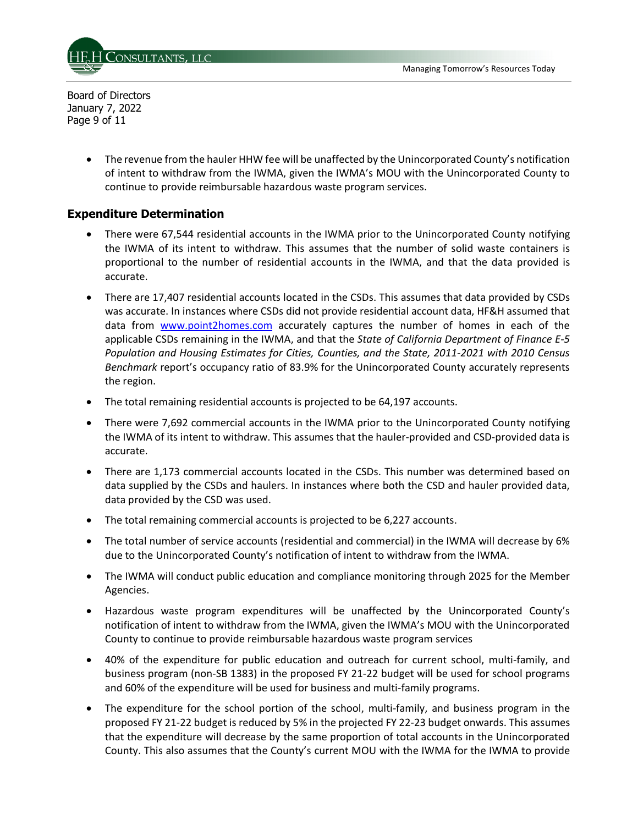

Board of Directors January 7, 2022 Page 9 of 11

> • The revenue from the hauler HHW fee will be unaffected by the Unincorporated County's notification of intent to withdraw from the IWMA, given the IWMA's MOU with the Unincorporated County to continue to provide reimbursable hazardous waste program services.

## **Expenditure Determination**

- There were 67,544 residential accounts in the IWMA prior to the Unincorporated County notifying the IWMA of its intent to withdraw. This assumes that the number of solid waste containers is proportional to the number of residential accounts in the IWMA, and that the data provided is accurate.
- There are 17,407 residential accounts located in the CSDs. This assumes that data provided by CSDs was accurate. In instances where CSDs did not provide residential account data, HF&H assumed that data from [www.point2homes.com](http://www.point2homes.com/) accurately captures the number of homes in each of the applicable CSDs remaining in the IWMA, and that the *State of California Department of Finance E-5 Population and Housing Estimates for Cities, Counties, and the State, 2011-2021 with 2010 Census Benchmark* report's occupancy ratio of 83.9% for the Unincorporated County accurately represents the region.
- The total remaining residential accounts is projected to be 64,197 accounts.
- There were 7,692 commercial accounts in the IWMA prior to the Unincorporated County notifying the IWMA of its intent to withdraw. This assumes that the hauler-provided and CSD-provided data is accurate.
- There are 1,173 commercial accounts located in the CSDs. This number was determined based on data supplied by the CSDs and haulers. In instances where both the CSD and hauler provided data, data provided by the CSD was used.
- The total remaining commercial accounts is projected to be 6,227 accounts.
- The total number of service accounts (residential and commercial) in the IWMA will decrease by 6% due to the Unincorporated County's notification of intent to withdraw from the IWMA.
- The IWMA will conduct public education and compliance monitoring through 2025 for the Member Agencies.
- Hazardous waste program expenditures will be unaffected by the Unincorporated County's notification of intent to withdraw from the IWMA, given the IWMA's MOU with the Unincorporated County to continue to provide reimbursable hazardous waste program services
- 40% of the expenditure for public education and outreach for current school, multi-family, and business program (non-SB 1383) in the proposed FY 21-22 budget will be used for school programs and 60% of the expenditure will be used for business and multi-family programs.
- The expenditure for the school portion of the school, multi-family, and business program in the proposed FY 21-22 budget is reduced by 5% in the projected FY 22-23 budget onwards. This assumes that the expenditure will decrease by the same proportion of total accounts in the Unincorporated County. This also assumes that the County's current MOU with the IWMA for the IWMA to provide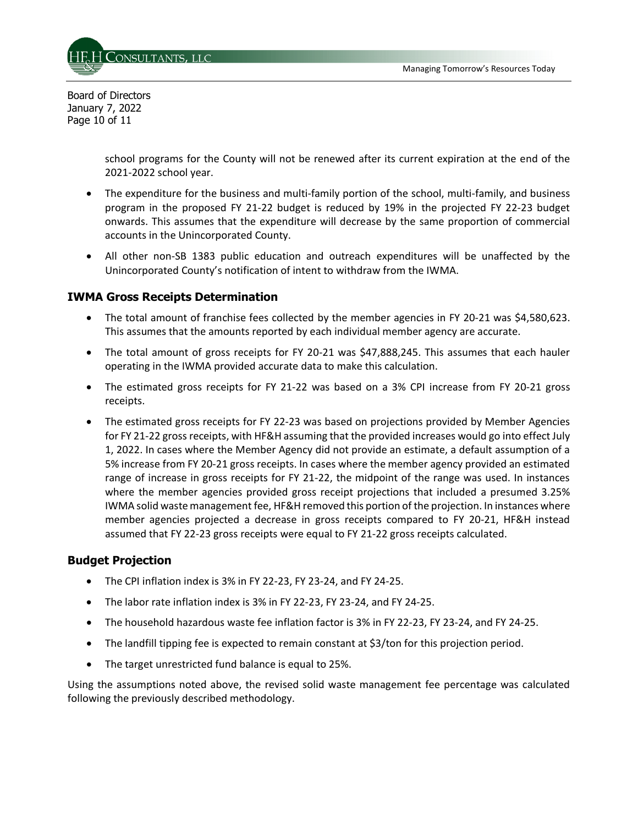

Board of Directors January 7, 2022 Page 10 of 11

> school programs for the County will not be renewed after its current expiration at the end of the 2021-2022 school year.

- The expenditure for the business and multi-family portion of the school, multi-family, and business program in the proposed FY 21-22 budget is reduced by 19% in the projected FY 22-23 budget onwards. This assumes that the expenditure will decrease by the same proportion of commercial accounts in the Unincorporated County.
- All other non-SB 1383 public education and outreach expenditures will be unaffected by the Unincorporated County's notification of intent to withdraw from the IWMA.

## **IWMA Gross Receipts Determination**

- The total amount of franchise fees collected by the member agencies in FY 20-21 was \$4,580,623. This assumes that the amounts reported by each individual member agency are accurate.
- The total amount of gross receipts for FY 20-21 was \$47,888,245. This assumes that each hauler operating in the IWMA provided accurate data to make this calculation.
- The estimated gross receipts for FY 21-22 was based on a 3% CPI increase from FY 20-21 gross receipts.
- The estimated gross receipts for FY 22-23 was based on projections provided by Member Agencies for FY 21-22 gross receipts, with HF&H assuming that the provided increases would go into effect July 1, 2022. In cases where the Member Agency did not provide an estimate, a default assumption of a 5% increase from FY 20-21 gross receipts. In cases where the member agency provided an estimated range of increase in gross receipts for FY 21-22, the midpoint of the range was used. In instances where the member agencies provided gross receipt projections that included a presumed 3.25% IWMA solid waste management fee, HF&H removed this portion of the projection. In instances where member agencies projected a decrease in gross receipts compared to FY 20-21, HF&H instead assumed that FY 22-23 gross receipts were equal to FY 21-22 gross receipts calculated.

## **Budget Projection**

- The CPI inflation index is 3% in FY 22-23, FY 23-24, and FY 24-25.
- The labor rate inflation index is 3% in FY 22-23, FY 23-24, and FY 24-25.
- The household hazardous waste fee inflation factor is 3% in FY 22-23, FY 23-24, and FY 24-25.
- The landfill tipping fee is expected to remain constant at \$3/ton for this projection period.
- The target unrestricted fund balance is equal to 25%.

Using the assumptions noted above, the revised solid waste management fee percentage was calculated following the previously described methodology.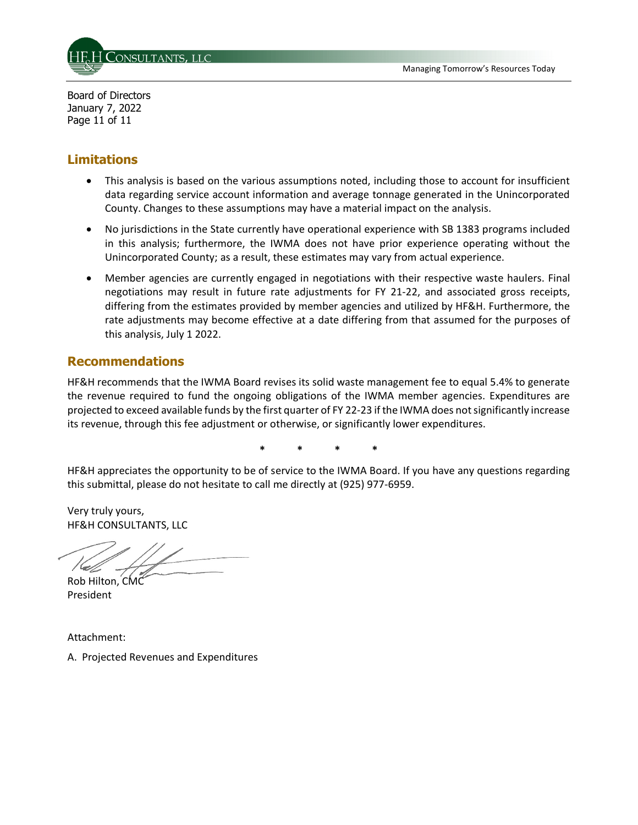

Board of Directors January 7, 2022 Page 11 of 11

# **Limitations**

- This analysis is based on the various assumptions noted, including those to account for insufficient data regarding service account information and average tonnage generated in the Unincorporated County. Changes to these assumptions may have a material impact on the analysis.
- No jurisdictions in the State currently have operational experience with SB 1383 programs included in this analysis; furthermore, the IWMA does not have prior experience operating without the Unincorporated County; as a result, these estimates may vary from actual experience.
- Member agencies are currently engaged in negotiations with their respective waste haulers. Final negotiations may result in future rate adjustments for FY 21-22, and associated gross receipts, differing from the estimates provided by member agencies and utilized by HF&H. Furthermore, the rate adjustments may become effective at a date differing from that assumed for the purposes of this analysis, July 1 2022.

## **Recommendations**

HF&H recommends that the IWMA Board revises its solid waste management fee to equal 5.4% to generate the revenue required to fund the ongoing obligations of the IWMA member agencies. Expenditures are projected to exceed available funds by the first quarter of FY 22-23 if the IWMA does not significantly increase its revenue, through this fee adjustment or otherwise, or significantly lower expenditures.

**\* \* \* \*** 

HF&H appreciates the opportunity to be of service to the IWMA Board. If you have any questions regarding this submittal, please do not hesitate to call me directly at (925) 977-6959.

Very truly yours, HF&H CONSULTANTS, LLC

Rob Hilton, CMC President

Attachment:

A. Projected Revenues and Expenditures